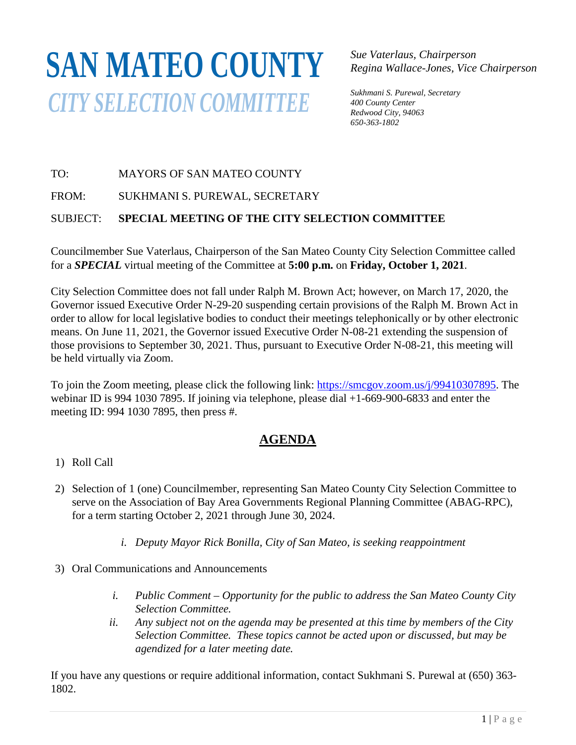## **SAN MATEO COUNTY***CITY SELECTION COMMITTEE*

*Sue Vaterlaus, Chairperson Regina Wallace-Jones, Vice Chairperson*

*Sukhmani S. Purewal, Secretary 400 County Center Redwood City, 94063 650-363-1802*

## TO: MAYORS OF SAN MATEO COUNTY

FROM: SUKHMANI S. PUREWAL, SECRETARY

## SUBJECT: **SPECIAL MEETING OF THE CITY SELECTION COMMITTEE**

Councilmember Sue Vaterlaus, Chairperson of the San Mateo County City Selection Committee called for a *SPECIAL* virtual meeting of the Committee at **5:00 p.m.** on **Friday, October 1, 2021**.

City Selection Committee does not fall under Ralph M. Brown Act; however, on March 17, 2020, the Governor issued Executive Order N-29-20 suspending certain provisions of the Ralph M. Brown Act in order to allow for local legislative bodies to conduct their meetings telephonically or by other electronic means. On June 11, 2021, the Governor issued Executive Order N-08-21 extending the suspension of those provisions to September 30, 2021. Thus, pursuant to Executive Order N-08-21, this meeting will be held virtually via Zoom.

To join the Zoom meeting, please click the following link: [https://smcgov.zoom.us/j/99410307895.](https://smcgov.zoom.us/j/99410307895) The webinar ID is 994 1030 7895. If joining via telephone, please dial +1-669-900-6833 and enter the meeting ID: 994 1030 7895, then press #.

## **AGENDA**

- 1) Roll Call
- 2) Selection of 1 (one) Councilmember, representing San Mateo County City Selection Committee to serve on the Association of Bay Area Governments Regional Planning Committee (ABAG-RPC), for a term starting October 2, 2021 through June 30, 2024.
	- *i. Deputy Mayor Rick Bonilla, City of San Mateo, is seeking reappointment*
- 3) Oral Communications and Announcements
	- *i. Public Comment – Opportunity for the public to address the San Mateo County City Selection Committee.*
	- *ii. Any subject not on the agenda may be presented at this time by members of the City Selection Committee. These topics cannot be acted upon or discussed, but may be agendized for a later meeting date.*

If you have any questions or require additional information, contact Sukhmani S. Purewal at (650) 363- 1802.